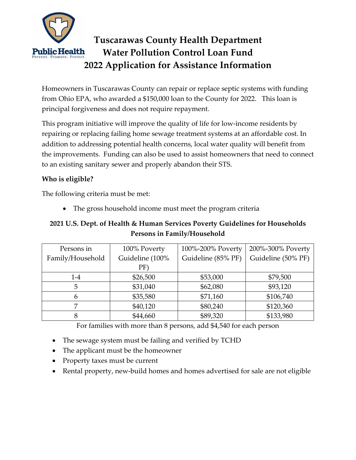

# **Tuscarawas County Health Department Water Pollution Control Loan Fund 2022 Application for Assistance Information**

Homeowners in Tuscarawas County can repair or replace septic systems with funding from Ohio EPA, who awarded a \$150,000 loan to the County for 2022. This loan is principal forgiveness and does not require repayment.

This program initiative will improve the quality of life for low-income residents by repairing or replacing failing home sewage treatment systems at an affordable cost. In addition to addressing potential health concerns, local water quality will benefit from the improvements. Funding can also be used to assist homeowners that need to connect to an existing sanitary sewer and properly abandon their STS.

## **Who is eligible?**

The following criteria must be met:

• The gross household income must meet the program criteria

# **2021 U.S. Dept. of Health & Human Services Poverty Guidelines for Households Persons in Family/Household**

| Persons in       | 100% Poverty    | 100%-200% Poverty  | 200%-300% Poverty  |
|------------------|-----------------|--------------------|--------------------|
| Family/Household | Guideline (100% | Guideline (85% PF) | Guideline (50% PF) |
|                  | PF)             |                    |                    |
| $1 - 4$          | \$26,500        | \$53,000           | \$79,500           |
| 5                | \$31,040        | \$62,080           | \$93,120           |
|                  | \$35,580        | \$71,160           | \$106,740          |
| 7                | \$40,120        | \$80,240           | \$120,360          |
|                  | \$44,660        | \$89,320           | \$133,980          |

For families with more than 8 persons, add \$4,540 for each person

- The sewage system must be failing and verified by TCHD
- The applicant must be the homeowner
- Property taxes must be current
- Rental property, new-build homes and homes advertised for sale are not eligible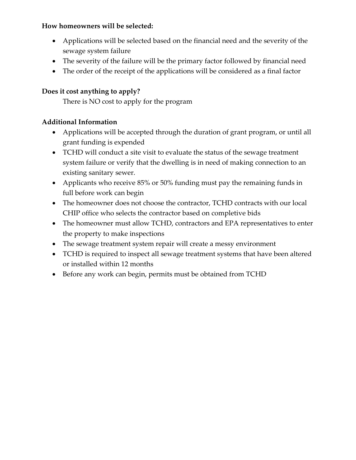## **How homeowners will be selected:**

- Applications will be selected based on the financial need and the severity of the sewage system failure
- The severity of the failure will be the primary factor followed by financial need
- The order of the receipt of the applications will be considered as a final factor

# **Does it cost anything to apply?**

There is NO cost to apply for the program

# **Additional Information**

- Applications will be accepted through the duration of grant program, or until all grant funding is expended
- TCHD will conduct a site visit to evaluate the status of the sewage treatment system failure or verify that the dwelling is in need of making connection to an existing sanitary sewer.
- Applicants who receive 85% or 50% funding must pay the remaining funds in full before work can begin
- The homeowner does not choose the contractor, TCHD contracts with our local CHIP office who selects the contractor based on completive bids
- The homeowner must allow TCHD, contractors and EPA representatives to enter the property to make inspections
- The sewage treatment system repair will create a messy environment
- TCHD is required to inspect all sewage treatment systems that have been altered or installed within 12 months
- Before any work can begin, permits must be obtained from TCHD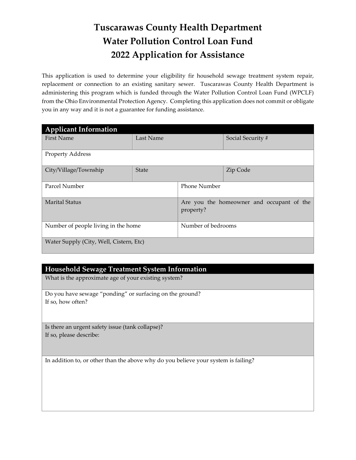# **Tuscarawas County Health Department Water Pollution Control Loan Fund 2022 Application for Assistance**

This application is used to determine your eligibility fir household sewage treatment system repair, replacement or connection to an existing sanitary sewer. Tuscarawas County Health Department is administering this program which is funded through the Water Pollution Control Loan Fund (WPCLF) from the Ohio Environmental Protection Agency. Completing this application does not commit or obligate you in any way and it is not a guarantee for funding assistance.

| <b>Applicant Information</b>            |              |                                                        |                   |  |
|-----------------------------------------|--------------|--------------------------------------------------------|-------------------|--|
| <b>First Name</b>                       | Last Name    |                                                        | Social Security # |  |
| <b>Property Address</b>                 |              |                                                        |                   |  |
|                                         |              |                                                        |                   |  |
| City/Village/Township                   | <b>State</b> |                                                        | Zip Code          |  |
|                                         |              |                                                        |                   |  |
| Parcel Number                           |              | <b>Phone Number</b>                                    |                   |  |
|                                         |              |                                                        |                   |  |
| <b>Marital Status</b>                   |              | Are you the homeowner and occupant of the<br>property? |                   |  |
| Number of people living in the home     |              | Number of bedrooms                                     |                   |  |
| Water Supply (City, Well, Cistern, Etc) |              |                                                        |                   |  |

#### **Household Sewage Treatment System Information**

What is the approximate age of your existing system?

Do you have sewage "ponding" or surfacing on the ground? If so, how often?

Is there an urgent safety issue (tank collapse)? If so, please describe:

In addition to, or other than the above why do you believe your system is failing?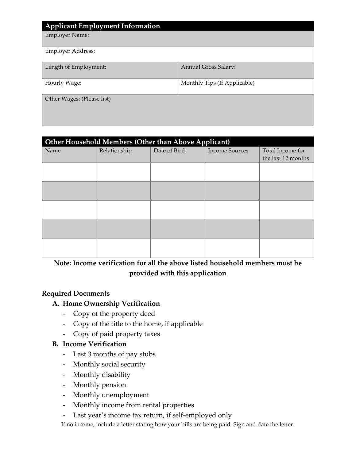| <b>Applicant Employment Information</b> |                              |
|-----------------------------------------|------------------------------|
| <b>Employer Name:</b>                   |                              |
| <b>Employer Address:</b>                |                              |
| Length of Employment:                   | <b>Annual Gross Salary:</b>  |
| Hourly Wage:                            | Monthly Tips (If Applicable) |
| Other Wages: (Please list)              |                              |

| Other Household Members (Other than Above Applicant) |              |               |                       |                    |
|------------------------------------------------------|--------------|---------------|-----------------------|--------------------|
| Name                                                 | Relationship | Date of Birth | <b>Income Sources</b> | Total Income for   |
|                                                      |              |               |                       | the last 12 months |
|                                                      |              |               |                       |                    |
|                                                      |              |               |                       |                    |
|                                                      |              |               |                       |                    |
|                                                      |              |               |                       |                    |
|                                                      |              |               |                       |                    |
|                                                      |              |               |                       |                    |
|                                                      |              |               |                       |                    |
|                                                      |              |               |                       |                    |
|                                                      |              |               |                       |                    |
|                                                      |              |               |                       |                    |

## **Note: Income verification for all the above listed household members must be provided with this application**

## **Required Documents**

## **A. Home Ownership Verification**

- Copy of the property deed
- Copy of the title to the home, if applicable
- Copy of paid property taxes

## **B. Income Verification**

- Last 3 months of pay stubs
- Monthly social security
- Monthly disability
- Monthly pension
- Monthly unemployment
- Monthly income from rental properties
- Last year's income tax return, if self-employed only

If no income, include a letter stating how your bills are being paid. Sign and date the letter.